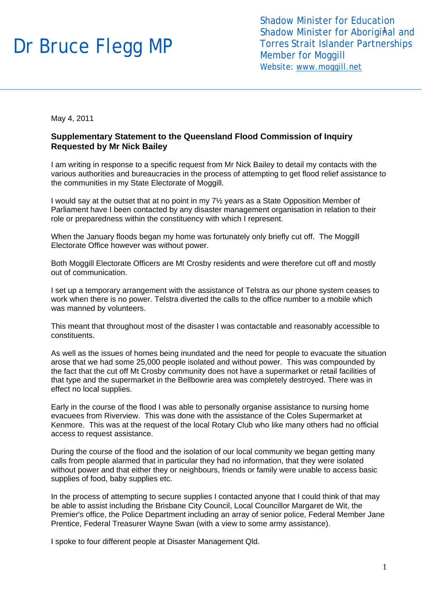## Dr Bruce Flegg MP

Shadow Minister for Aboriginal and Shadow Minister for Education Torres Strait Islander Partnerships Member for Moggill Website: [www.moggill.net](http://www.moggill.net/)

May 4, 2011

## **Supplementary Statement to the Queensland Flood Commission of Inquiry Requested by Mr Nick Bailey**

I am writing in response to a specific request from Mr Nick Bailey to detail my contacts with the various authorities and bureaucracies in the process of attempting to get flood relief assistance to the communities in my State Electorate of Moggill.

I would say at the outset that at no point in my 7½ years as a State Opposition Member of Parliament have I been contacted by any disaster management organisation in relation to their role or preparedness within the constituency with which I represent.

When the January floods began my home was fortunately only briefly cut off. The Moggill Electorate Office however was without power.

Both Moggill Electorate Officers are Mt Crosby residents and were therefore cut off and mostly out of communication.

I set up a temporary arrangement with the assistance of Telstra as our phone system ceases to work when there is no power. Telstra diverted the calls to the office number to a mobile which was manned by volunteers.

This meant that throughout most of the disaster I was contactable and reasonably accessible to constituents.

As well as the issues of homes being inundated and the need for people to evacuate the situation arose that we had some 25,000 people isolated and without power. This was compounded by the fact that the cut off Mt Crosby community does not have a supermarket or retail facilities of that type and the supermarket in the Bellbowrie area was completely destroyed. There was in effect no local supplies.

Early in the course of the flood I was able to personally organise assistance to nursing home evacuees from Riverview. This was done with the assistance of the Coles Supermarket at Kenmore. This was at the request of the local Rotary Club who like many others had no official access to request assistance.

During the course of the flood and the isolation of our local community we began getting many calls from people alarmed that in particular they had no information, that they were isolated without power and that either they or neighbours, friends or family were unable to access basic supplies of food, baby supplies etc.

In the process of attempting to secure supplies I contacted anyone that I could think of that may be able to assist including the Brisbane City Council, Local Councillor Margaret de Wit, the Premier's office, the Police Department including an array of senior police, Federal Member Jane Prentice, Federal Treasurer Wayne Swan (with a view to some army assistance).

I spoke to four different people at Disaster Management Qld.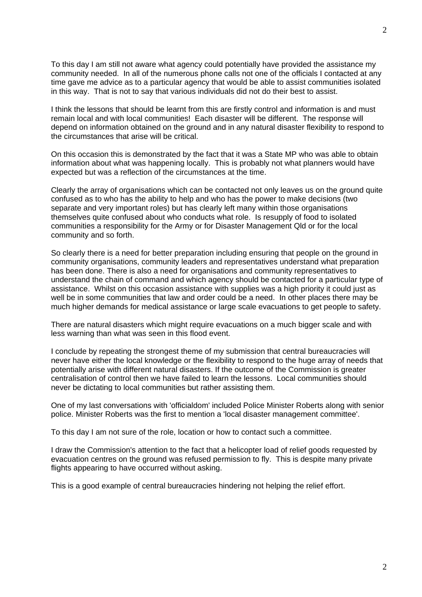2

To this day I am still not aware what agency could potentially have provided the assistance my community needed. In all of the numerous phone calls not one of the officials I contacted at any time gave me advice as to a particular agency that would be able to assist communities isolated in this way. That is not to say that various individuals did not do their best to assist.

I think the lessons that should be learnt from this are firstly control and information is and must remain local and with local communities! Each disaster will be different. The response will depend on information obtained on the ground and in any natural disaster flexibility to respond to the circumstances that arise will be critical.

On this occasion this is demonstrated by the fact that it was a State MP who was able to obtain information about what was happening locally. This is probably not what planners would have expected but was a reflection of the circumstances at the time.

Clearly the array of organisations which can be contacted not only leaves us on the ground quite confused as to who has the ability to help and who has the power to make decisions (two separate and very important roles) but has clearly left many within those organisations themselves quite confused about who conducts what role. Is resupply of food to isolated communities a responsibility for the Army or for Disaster Management Qld or for the local community and so forth.

So clearly there is a need for better preparation including ensuring that people on the ground in community organisations, community leaders and representatives understand what preparation has been done. There is also a need for organisations and community representatives to understand the chain of command and which agency should be contacted for a particular type of assistance. Whilst on this occasion assistance with supplies was a high priority it could just as well be in some communities that law and order could be a need. In other places there may be much higher demands for medical assistance or large scale evacuations to get people to safety.

There are natural disasters which might require evacuations on a much bigger scale and with less warning than what was seen in this flood event.

I conclude by repeating the strongest theme of my submission that central bureaucracies will never have either the local knowledge or the flexibility to respond to the huge array of needs that potentially arise with different natural disasters. If the outcome of the Commission is greater centralisation of control then we have failed to learn the lessons. Local communities should never be dictating to local communities but rather assisting them.

One of my last conversations with 'officialdom' included Police Minister Roberts along with senior police. Minister Roberts was the first to mention a 'local disaster management committee'.

To this day I am not sure of the role, location or how to contact such a committee.

I draw the Commission's attention to the fact that a helicopter load of relief goods requested by evacuation centres on the ground was refused permission to fly. This is despite many private flights appearing to have occurred without asking.

This is a good example of central bureaucracies hindering not helping the relief effort.